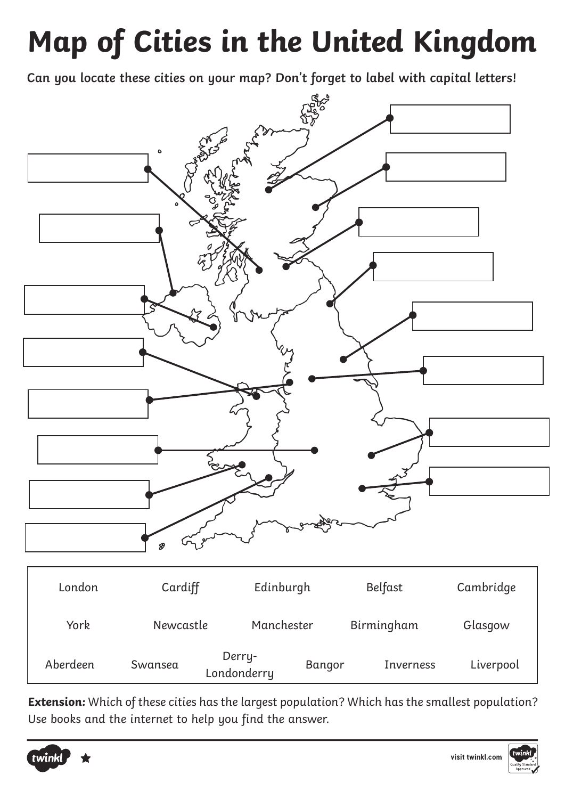## **Map of Cities in the United Kingdom**

**Can you locate these cities on your map? Don't forget to label with capital letters!**



**Extension:** Which of these cities has the largest population? Which has the smallest population? Use books and the internet to help you find the answer.



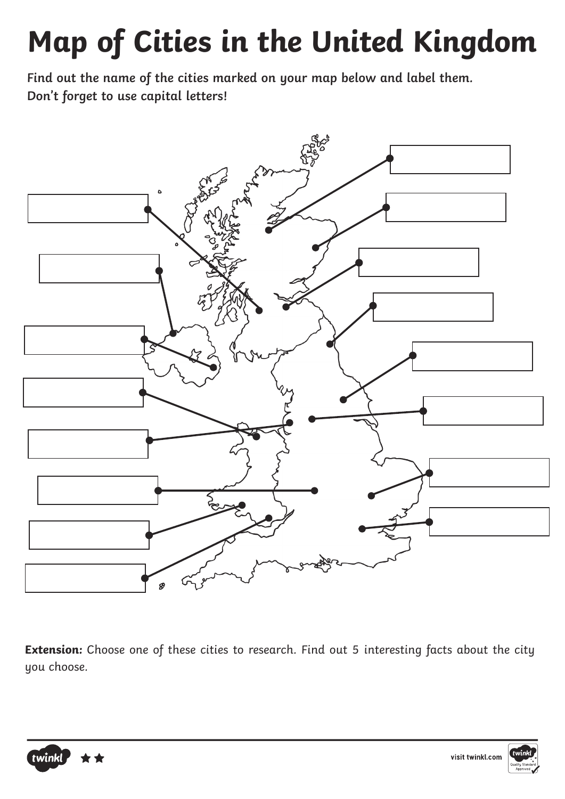## **Map of Cities in the United Kingdom**

**Find out the name of the cities marked on your map below and label them. Don't forget to use capital letters!**



**Extension:** Choose one of these cities to research. Find out 5 interesting facts about the city you choose.



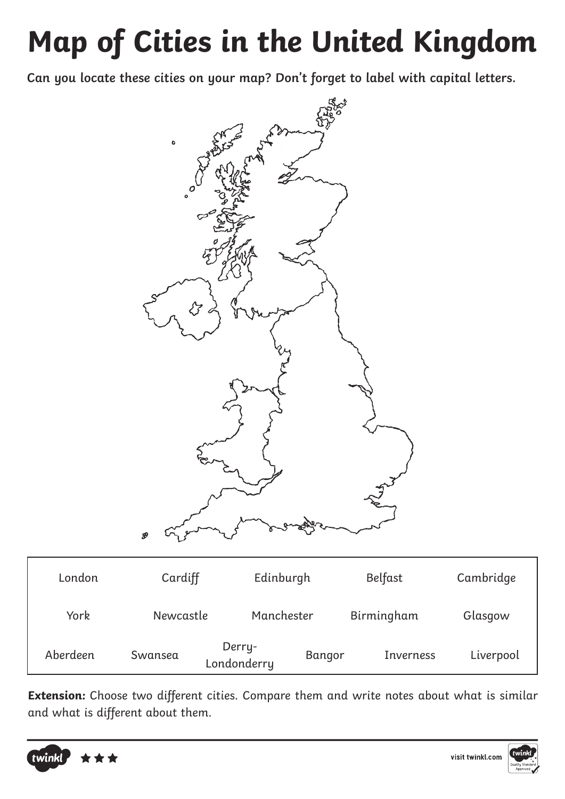## **Map of Cities in the United Kingdom**

**Can you locate these cities on your map? Don't forget to label with capital letters.**



| London   | Cardiff   | Edinburgh             |        | Belfast          | Cambridge |
|----------|-----------|-----------------------|--------|------------------|-----------|
| York     | Newcastle | Manchester            |        | Birmingham       | Glasgow   |
| Aberdeen | Swansea   | Derry-<br>Londonderry | Bangor | <b>Inverness</b> | Liverpool |

**Extension:** Choose two different cities. Compare them and write notes about what is similar and what is different about them.